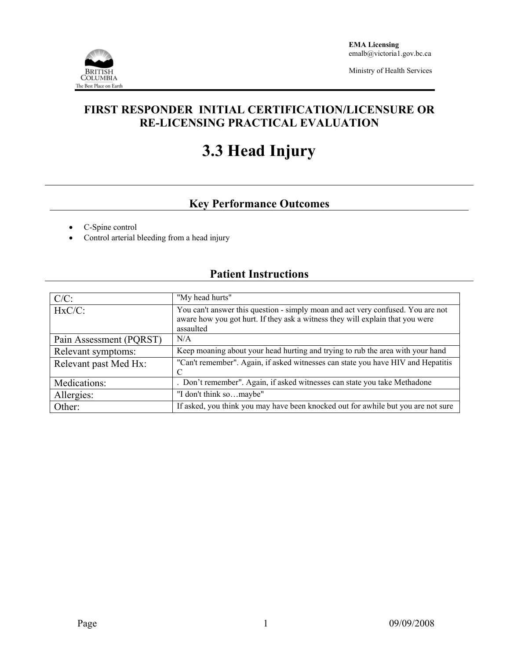

Ministry of Health Services

## **FIRST RESPONDER INITIAL CERTIFICATION/LICENSURE OR RE-LICENSING PRACTICAL EVALUATION**

# **3.3 Head Injury**

## **Key Performance Outcomes**

- C-Spine control
- Control arterial bleeding from a head injury

### **Patient Instructions**

| $C/C$ :                 | "My head hurts"                                                                                                                                                               |
|-------------------------|-------------------------------------------------------------------------------------------------------------------------------------------------------------------------------|
| $HxC/C$ :               | You can't answer this question - simply moan and act very confused. You are not<br>aware how you got hurt. If they ask a witness they will explain that you were<br>assaulted |
| Pain Assessment (PQRST) | N/A                                                                                                                                                                           |
| Relevant symptoms:      | Keep moaning about your head hurting and trying to rub the area with your hand                                                                                                |
| Relevant past Med Hx:   | "Can't remember". Again, if asked witnesses can state you have HIV and Hepatitis                                                                                              |
| Medications:            | . Don't remember". Again, if asked witnesses can state you take Methadone                                                                                                     |
| Allergies:              | "I don't think somaybe"                                                                                                                                                       |
| Other:                  | If asked, you think you may have been knocked out for awhile but you are not sure                                                                                             |